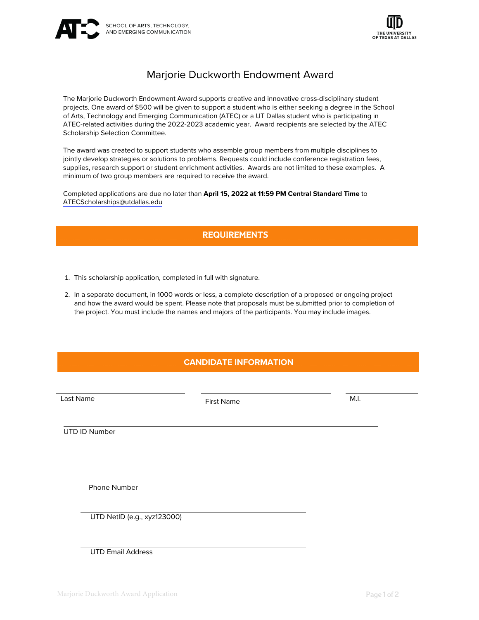



# Marjorie Duckworth Endowment Award

The Marjorie Duckworth Endowment Award supports creative and innovative cross-disciplinary student projects. One award of \$500 will be given to support a student who is either seeking a degree in the School of Arts, Technology and Emerging Communication (ATEC) or a UT Dallas student who is participating in ATEC-related activities during the 2022-2023 academic year. Award recipients are selected by the ATEC Scholarship Selection Committee.

The award was created to support students who assemble group members from multiple disciplines to jointly develop strategies or solutions to problems. Requests could include conference registration fees, supplies, research support or student enrichment activities. Awards are not limited to these examples. A minimum of two group members are required to receive the award.

Completed applications are due no later than **April 15, 2022 at 11:59 PM Central Standard Time** to [ATECScholarships@utdallas.edu](mailto:ATECScholarships@utdallas.edu)

## **REQUIREMENTS**

- 1. This scholarship application, completed in full with signature.
- 2. In a separate document, in 1000 words or less, a complete description of a proposed or ongoing project and how the award would be spent. Please note that proposals must be submitted prior to completion of the project. You must include the names and majors of the participants. You may include images.

## **CANDIDATE INFORMATION**

Last Name **M.I. Example 2** First Name **First Name M.I.** M.I.

UTD ID Number

Phone Number

UTD NetID (e.g., xyz123000)

UTD Email Address